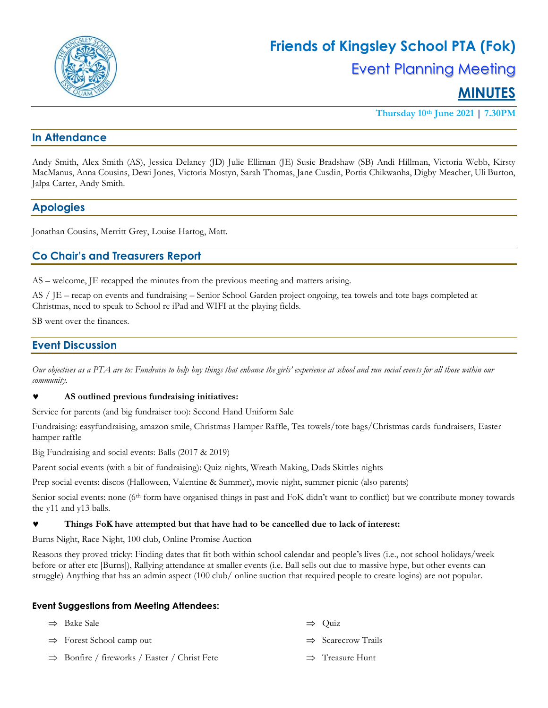

# **MINUTES**

**Thursday 10th June 2021 | 7.30PM**

## **In Attendance**

Andy Smith, Alex Smith (AS), Jessica Delaney (JD) Julie Elliman (JE) Susie Bradshaw (SB) Andi Hillman, Victoria Webb, Kirsty MacManus, Anna Cousins, Dewi Jones, Victoria Mostyn, Sarah Thomas, Jane Cusdin, Portia Chikwanha, Digby Meacher, Uli Burton, Jalpa Carter, Andy Smith.

## **Apologies**

Jonathan Cousins, Merritt Grey, Louise Hartog, Matt.

## **Co Chair's and Treasurers Report**

AS – welcome, JE recapped the minutes from the previous meeting and matters arising.

AS / JE – recap on events and fundraising – Senior School Garden project ongoing, tea towels and tote bags completed at Christmas, need to speak to School re iPad and WIFI at the playing fields.

SB went over the finances.

### **Event Discussion**

*Our objectives as a PTA are to: Fundraise to help buy things that enhance the girls' experience at school and run social events for all those within our community.*

#### **AS outlined previous fundraising initiatives:**

Service for parents (and big fundraiser too): Second Hand Uniform Sale

Fundraising: easyfundraising, amazon smile, Christmas Hamper Raffle, Tea towels/tote bags/Christmas cards fundraisers, Easter hamper raffle

Big Fundraising and social events: Balls (2017 & 2019)

Parent social events (with a bit of fundraising): Quiz nights, Wreath Making, Dads Skittles nights

Prep social events: discos (Halloween, Valentine & Summer), movie night, summer picnic (also parents)

Senior social events: none (6<sup>th</sup> form have organised things in past and FoK didn't want to conflict) but we contribute money towards the y11 and y13 balls.

#### **Things FoK have attempted but that have had to be cancelled due to lack of interest:**

Burns Night, Race Night, 100 club, Online Promise Auction

Reasons they proved tricky: Finding dates that fit both within school calendar and people's lives (i.e., not school holidays/week before or after etc [Burns]), Rallying attendance at smaller events (i.e. Ball sells out due to massive hype, but other events can struggle) Anything that has an admin aspect (100 club/ online auction that required people to create logins) are not popular.

#### **Event Suggestions from Meeting Attendees:**

| $\Rightarrow$ Bake Sale                                  | $\Rightarrow$ Ouiz             |
|----------------------------------------------------------|--------------------------------|
| $\Rightarrow$ Forest School camp out                     | $\Rightarrow$ Scarecrow Trails |
| $\Rightarrow$ Bonfire / fireworks / Easter / Christ Fete | $\Rightarrow$ Treasure Hunt    |